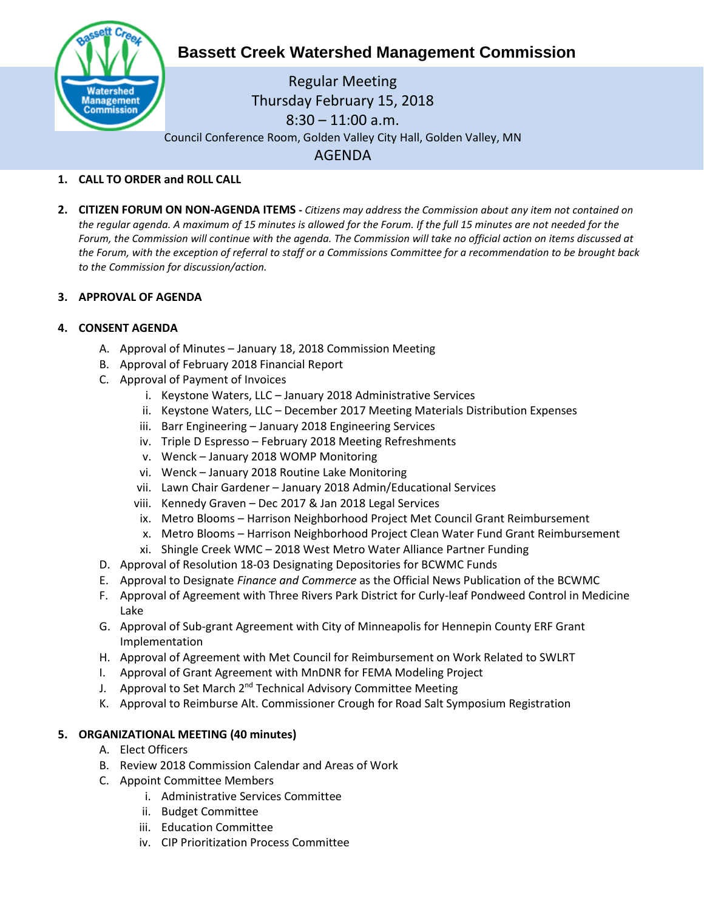

# **Bassett Creek Watershed Management Commission**

Regular Meeting Thursday February 15, 2018 8:30 – 11:00 a.m. Council Conference Room, Golden Valley City Hall, Golden Valley, MN AGENDA

## **1. CALL TO ORDER and ROLL CALL**

**2. CITIZEN FORUM ON NON-AGENDA ITEMS -** *Citizens may address the Commission about any item not contained on the regular agenda. A maximum of 15 minutes is allowed for the Forum. If the full 15 minutes are not needed for the Forum, the Commission will continue with the agenda. The Commission will take no official action on items discussed at the Forum, with the exception of referral to staff or a Commissions Committee for a recommendation to be brought back to the Commission for discussion/action.*

#### **3. APPROVAL OF AGENDA**

#### **4. CONSENT AGENDA**

- A. Approval of Minutes January 18, 2018 Commission Meeting
- B. Approval of February 2018 Financial Report
- C. Approval of Payment of Invoices
	- i. Keystone Waters, LLC January 2018 Administrative Services
	- ii. Keystone Waters, LLC December 2017 Meeting Materials Distribution Expenses
	- iii. Barr Engineering January 2018 Engineering Services
	- iv. Triple D Espresso February 2018 Meeting Refreshments
	- v. Wenck January 2018 WOMP Monitoring
	- vi. Wenck January 2018 Routine Lake Monitoring
	- vii. Lawn Chair Gardener January 2018 Admin/Educational Services
	- viii. Kennedy Graven Dec 2017 & Jan 2018 Legal Services
	- ix. Metro Blooms Harrison Neighborhood Project Met Council Grant Reimbursement
	- x. Metro Blooms Harrison Neighborhood Project Clean Water Fund Grant Reimbursement
	- xi. Shingle Creek WMC 2018 West Metro Water Alliance Partner Funding
- D. Approval of Resolution 18-03 Designating Depositories for BCWMC Funds
- E. Approval to Designate *Finance and Commerce* as the Official News Publication of the BCWMC
- F. Approval of Agreement with Three Rivers Park District for Curly-leaf Pondweed Control in Medicine Lake
- G. Approval of Sub-grant Agreement with City of Minneapolis for Hennepin County ERF Grant Implementation
- H. Approval of Agreement with Met Council for Reimbursement on Work Related to SWLRT
- I. Approval of Grant Agreement with MnDNR for FEMA Modeling Project
- J. Approval to Set March 2<sup>nd</sup> Technical Advisory Committee Meeting
- K. Approval to Reimburse Alt. Commissioner Crough for Road Salt Symposium Registration

#### **5. ORGANIZATIONAL MEETING (40 minutes)**

- A. Elect Officers
- B. Review 2018 Commission Calendar and Areas of Work
- C. Appoint Committee Members
	- i. Administrative Services Committee
	- ii. Budget Committee
	- iii. Education Committee
	- iv. CIP Prioritization Process Committee